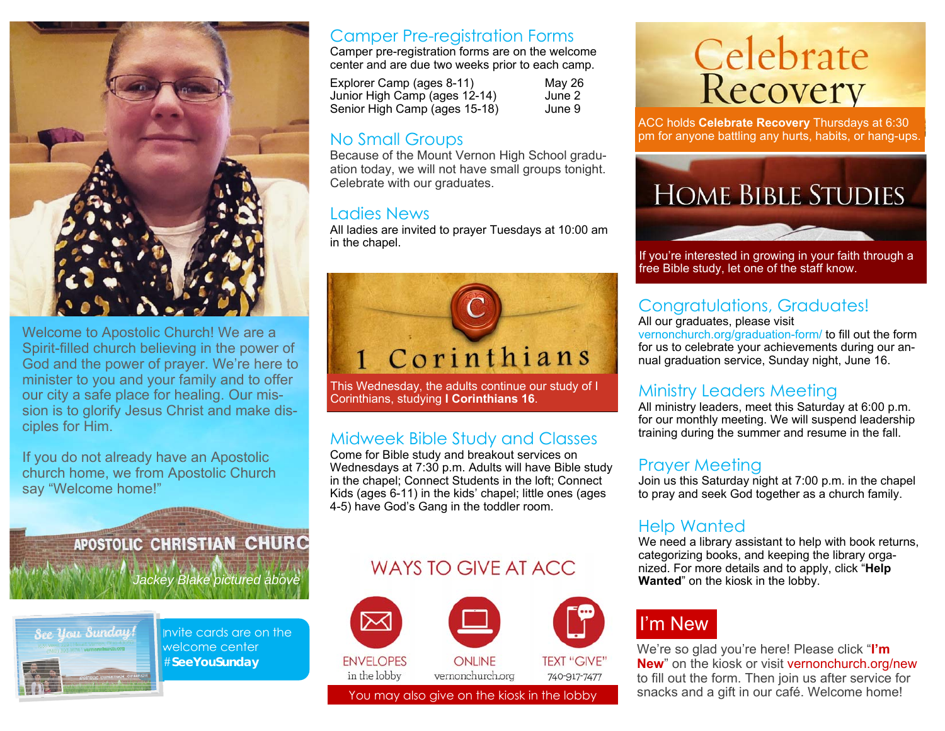

Welcome to Apostolic Church! We are a Spirit-filled church believing in the power of God and the power of prayer. We're here to minister to you and your family and to offer our city a safe place for healing. Our mission is to glorify Jesus Christ and make disciples for Him.

If you do not already have an Apostolic church home, we from Apostolic Church say "Welcome home!"

> **APOSTOLIC CHRISTIAN CHURC** *Jackey Blake pictured above*



Invite cards are on the welcome center #**SeeYouSunday** 

#### Camper Pre-registration Forms

Camper pre-registration forms are on the welcome center and are due two weeks prior to each camp.

Explorer Camp (ages 8-11) May 26 Junior High Camp (ages 12-14) June 2 Senior High Camp (ages 15-18) June 9

#### No Small Groups

Because of the Mount Vernon High School graduation today, we will not have small groups tonight. Celebrate with our graduates.

#### Ladies News

All ladies are invited to prayer Tuesdays at 10:00 am in the chapel.



This Wednesday, the adults continue our study of I Corinthians, studying **I Corinthians 16**.

#### Midweek Bible Study and Classes

Come for Bible study and breakout services on Wednesdays at 7:30 p.m. Adults will have Bible study in the chapel; Connect Students in the loft; Connect Kids (ages 6-11) in the kids' chapel; little ones (ages 4-5) have God's Gang in the toddler room.

#### WAYS TO GIVE AT ACC.



# Celebrate<br>Recovery

ACC holds **Celebrate Recovery** Thursdays at 6:30 pm for anyone battling any hurts, habits, or hang-ups.



If you're interested in growing in your faith through a free Bible study, let one of the staff know.

#### Congratulations, Graduates!

All our graduates, please visit vernonchurch.org/graduation-form/ to fill out the form for us to celebrate your achievements during our annual graduation service, Sunday night, June 16.

#### Ministry Leaders Meeting

All ministry leaders, meet this Saturday at 6:00 p.m. for our monthly meeting. We will suspend leadership training during the summer and resume in the fall.

#### Prayer Meeting

Join us this Saturday night at 7:00 p.m. in the chapel to pray and seek God together as a church family.

#### Help Wanted

We need a library assistant to help with book returns, categorizing books, and keeping the library organized. For more details and to apply, click "**Help Wanted**" on the kiosk in the lobby.

## I'm New

We're so glad you're here! Please click "**I'm New**" on the kiosk or visit vernonchurch.org/new to fill out the form. Then join us after service for You may also give on the kiosk in the lobby snacks and a gift in our café. Welcome home!